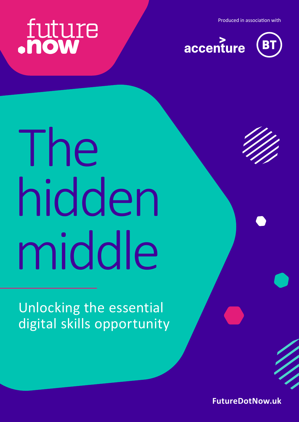Produced in association with

# future



# The hidden middle

Unlocking the essential digital skills opportunity

**[FutureDotNow.uk](http://FutureDotNow.uk)**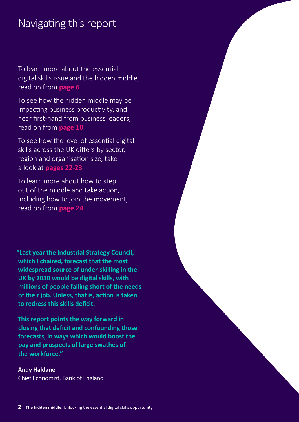### Navigating this report

To learn more about the essential digital skills issue and the hidden middle, read on from **page 6**

To see how the hidden middle may be impacting business productivity, and hear first-hand from business leaders, read on from **page 10**

To see how the level of essential digital skills across the UK differs by sector, region and organisation size, take a look at **pages 22-23**

To learn more about how to step out of the middle and take action, including how to join the movement, read on from **page 24**

**"Last year the Industrial Strategy Council, which I chaired, forecast that the most widespread source of under-skilling in the UK by 2030 would be digital skills, with millions of people falling short of the needs of their job. Unless, that is, action is taken to redress this skills deficit.** 

**This report points the way forward in closing that deficit and confounding those forecasts, in ways which would boost the pay and prospects of large swathes of the workforce."**

#### **Andy Haldane** Chief Economist, Bank of England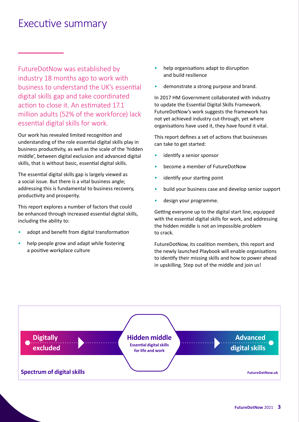### Executive summary

FutureDotNow was established by industry 18 months ago to work with business to understand the UK's essential digital skills gap and take coordinated action to close it. An estimated 17.1 million adults (52% of the workforce) lack essential digital skills for work.

Our work has revealed limited recognition and understanding of the role essential digital skills play in business productivity, as well as the scale of the 'hidden middle', between digital exclusion and advanced digital skills, that is without basic, essential digital skills.

The essential digital skills gap is largely viewed as a social issue. But there is a vital business angle; addressing this is fundamental to business recovery, productivity and prosperity.

This report explores a number of factors that could be enhanced through increased essential digital skills, including the ability to:

- adopt and benefit from digital transformation
- help people grow and adapt while fostering a positive workplace culture
- help organisations adapt to disruption and build resilience
- demonstrate a strong purpose and brand.

In 2017 HM Government collaborated with industry to update the Essential Digital Skills Framework. FutureDotNow's work suggests the framework has not yet achieved industry cut-through, yet where organisations have used it, they have found it vital.

This report defines a set of actions that businesses can take to get started:

- identify a senior sponsor
- become a member of FutureDotNow
- identify your starting point
- build your business case and develop senior support
- design your programme.

Getting everyone up to the digital start line, equipped with the essential digital skills for work, and addressing the hidden middle is not an impossible problem to crack.

FutureDotNow, its coalition members, this report and the newly launched Playbook will enable organisations to identify their missing skills and how to power ahead in upskilling. Step out of the middle and join us!

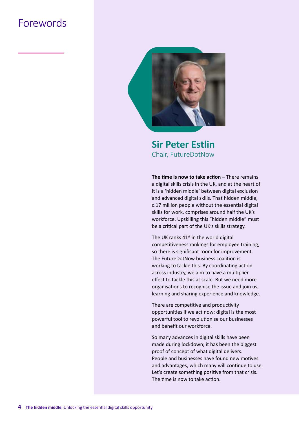### Forewords



**Sir Peter Estlin** Chair, FutureDotNow

**The time is now to take action - There remains** a digital skills crisis in the UK, and at the heart of it is a 'hidden middle' between digital exclusion and advanced digital skills. That hidden middle, c.17 million people without the essential digital skills for work, comprises around half the UK's workforce. Upskilling this "hidden middle" must be a critical part of the UK's skills strategy.

The UK ranks  $41<sup>st</sup>$  in the world digital competitiveness rankings for employee training, so there is significant room for improvement. The FutureDotNow business coalition is working to tackle this. By coordinating action across industry, we aim to have a multiplier effect to tackle this at scale. But we need more organisations to recognise the issue and join us, learning and sharing experience and knowledge.

There are competitive and productivity opportunities if we act now; digital is the most powerful tool to revolutionise our businesses and benefit our workforce.

So many advances in digital skills have been made during lockdown; it has been the biggest proof of concept of what digital delivers. People and businesses have found new motives and advantages, which many will continue to use. Let's create something positive from that crisis. The time is now to take action.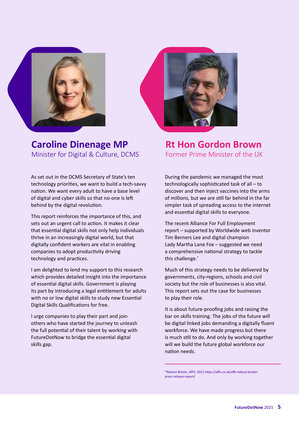

**Caroline Dinenage MP** Minister for Digital & Culture, DCMS

As set out in the DCMS Secretary of State's ten technology priorities, we want to build a tech-savvy nation. We want every adult to have a base level of digital and cyber skills so that no-one is left behind by the digital revolution.

This report reinforces the importance of this, and sets out an urgent call to action. It makes it clear that essential digital skills not only help individuals thrive in an increasingly digital world, but that digitally confident workers are vital in enabling companies to adopt productivity driving technology and practices.

I am delighted to lend my support to this research which provides detailed insight into the importance of essential digital skills. Government is playing its part by introducing a legal entitlement for adults with no or low digital skills to study new Essential Digital Skills Qualifications for free.

I urge companies to play their part and join others who have started the journey to unleash the full potential of their talent by working with FutureDotNow to bridge the essential digital skills gap.



**Rt Hon Gordon Brown** Former Prime Minister of the UK

During the pandemic we managed the most technologically sophisticated task of all – to discover and then inject vaccines into the arms of millions, but we are still far behind in the far simpler task of spreading access to the internet and essential digital skills to everyone.

The recent Alliance For Full Employment report – supported by Worldwide web inventor Tim Berners Lee and digital champion Lady Martha Lane Fox – suggested we need a comprehensive national strategy to tackle this challenge.\*

Much of this strategy needs to be delivered by governments, city-regions, schools and civil society but the role of businesses is also vital. This report sets out the case for businesses to play their role.

It is about future-proofing jobs and raising the bar on skills training. The jobs of the future will be digital linked jobs demanding a digitally fluent workforce. We have made progress but there is much still to do. And only by working together will we build the future global workforce our nation needs.

\*Reboot Britain, AfFE, 2021 [https://affe.co.uk/affe-reboot-britain](https://affe.co.uk/affe-reboot-britain-press-release-report/)[press-release-report/](https://affe.co.uk/affe-reboot-britain-press-release-report/)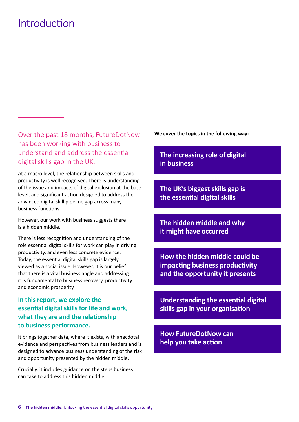### Introduction

Over the past 18 months, FutureDotNow has been working with business to understand and address the essential digital skills gap in the UK.

At a macro level, the relationship between skills and productivity is well recognised. There is understanding of the issue and impacts of digital exclusion at the base level, and significant action designed to address the advanced digital skill pipeline gap across many business functions.

However, our work with business suggests there is a hidden middle.

There is less recognition and understanding of the role essential digital skills for work can play in driving productivity, and even less concrete evidence. Today, the essential digital skills gap is largely viewed as a social issue. However, it is our belief that there is a vital business angle and addressing it is fundamental to business recovery, productivity and economic prosperity.

#### **In this report, we explore the essential digital skills for life and work, what they are and the relationship to business performance.**

It brings together data, where it exists, with anecdotal evidence and perspectives from business leaders and is designed to advance business understanding of the risk and opportunity presented by the hidden middle.

Crucially, it includes guidance on the steps business can take to address this hidden middle.

**We cover the topics in the following way:**

**The increasing role of digital in business**

**The UK's biggest skills gap is the essential digital skills**

**The hidden middle and why it might have occurred** 

**How the hidden middle could be impacting business productivity and the opportunity it presents**

**Understanding the essential digital skills gap in your organisation** 

**How FutureDotNow can help you take action**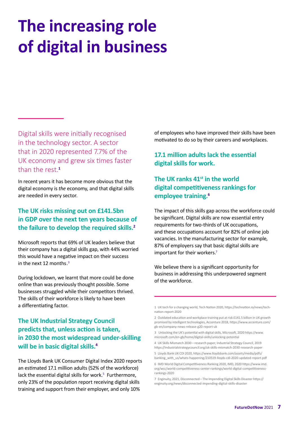# **The increasing role of digital in business**

Digital skills were initially recognised in the technology sector. A sector that in 2020 represented 7.7% of the UK economy and grew six times faster than the rest.**<sup>1</sup>**

In recent years it has become more obvious that the digital economy is *the* economy, and that digital skills are needed in every sector.

#### **The UK risks missing out on £141.5bn in GDP over the next ten years because of the failure to develop the required skills.2**

Microsoft reports that 69% of UK leaders believe that their company has a digital skills gap, with 44% worried this would have a negative impact on their success in the next 12 months. $3$ 

During lockdown, we learnt that more could be done online than was previously thought possible. Some businesses struggled while their competitors thrived. The skills of their workforce is likely to have been a differentiating factor.

#### **The UK Industrial Strategy Council predicts that, unless action is taken, in 2030 the most widespread under-skilling will be in basic digital skills.4**

The Lloyds Bank UK Consumer Digital Index 2020 reports an estimated 17.1 million adults (52% of the workforce) lack the essential digital skills for work.<sup>5</sup> Furthermore, only 23% of the population report receiving digital skills training and support from their employer, and only 10%

of employees who have improved their skills have been motivated to do so by their careers and workplaces.

**17.1 million adults lack the essential digital skills for work.**

#### The UK ranks 41<sup>st</sup> in the world **digital competitiveness rankings for employee training. 6**

The impact of this skills gap across the workforce could be significant. Digital skills are now essential entry requirements for two-thirds of UK occupations, and these occupations account for 82% of online job vacancies. In the manufacturing sector for example, 87% of employers say that basic digital skills are important for their workers.<sup>7</sup>

We believe there is a significant opportunity for business in addressing this underpowered segment of the workforce.

<sup>1</sup> UK tech for a changing world, Tech Nation 2020, [https://technation.io/news/tech](https://technation.io/news/tech-nation-report-2020/  )[nation-report-2020](https://technation.io/news/tech-nation-report-2020/  ) 

<sup>2</sup> Outdated education and workplace training put at risk £141.5 billion in UK growth promised by intelligent technologies, Accenture 2018, [https://www.accenture.com/](https://www.accenture.com/gb-en/company-news-release-g20-report-uk) [gb-en/company-news-release-g20-report-uk](https://www.accenture.com/gb-en/company-news-release-g20-report-uk)

<sup>3</sup> Unlocking the UK's potential with digital skills, Microsoft, 2020 [https://www.](https://www.microsoft.com/en-gb/home/digital-skills/unlocking-potential) [microsoft.com/en-gb/home/digital-skills/unlocking-potential](https://www.microsoft.com/en-gb/home/digital-skills/unlocking-potential)

<sup>4</sup> UK Skills Mismatch 2030 – research paper, Industrial Strategy Council, 2019 <https://industrialstrategycouncil.org/uk-skills-mismatch-2030-research-paper>

<sup>5</sup> Lloyds Bank UK CDI 2020, [https://www.lloydsbank.com/assets/media/pdfs/](https://www.lloydsbank.com/assets/media/pdfs/banking_with_us/whats-happening/210519-lloyds-cdi-2020-updated-report.pdf) [banking\\_with\\_us/whats-happening/210519-lloyds-cdi-2020-updated-report.pdf](https://www.lloydsbank.com/assets/media/pdfs/banking_with_us/whats-happening/210519-lloyds-cdi-2020-updated-report.pdf)

<sup>6</sup> IMD World Digital Competitiveness Ranking 2020, IMD, 2020 [https://www.imd.](https://www.imd.org/wcc/world-competitiveness-center-rankings/world-digital-competitiveness-rankings-2020/) [org/wcc/world-competitiveness-center-rankings/world-digital-competitiveness](https://www.imd.org/wcc/world-competitiveness-center-rankings/world-digital-competitiveness-rankings-2020/)[rankings-2020](https://www.imd.org/wcc/world-competitiveness-center-rankings/world-digital-competitiveness-rankings-2020/)

<sup>7</sup> Enginuity, 2021, Disconnected – The Impending Digital Skills Disaster [https://](https://enginuity.org/news/disconnected-impending-digital-skills-disaster/) [enginuity.org/news/disconnected-impending-digital-skills-disaster](https://enginuity.org/news/disconnected-impending-digital-skills-disaster/)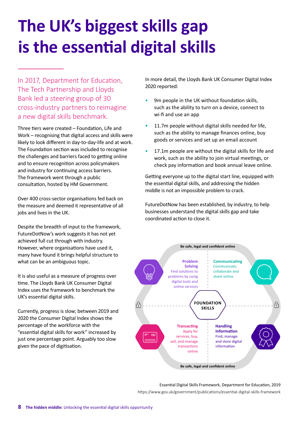# **The UK's biggest skills gap is the essential digital skills**

In 2017, Department for Education, The Tech Partnership and Lloyds Bank led a steering group of 30 cross-industry partners to reimagine a new digital skills benchmark.

Three tiers were created – Foundation, Life and Work – recognising that digital access and skills were likely to look different in day-to-day-life and at work. The Foundation section was included to recognise the challenges and barriers faced to getting online and to ensure recognition across policymakers and industry for continuing access barriers. The framework went through a public consultation, hosted by HM Government.

Over 400 cross-sector organisations fed back on the measure and deemed it representative of all jobs and lives in the UK.

Despite the breadth of input to the framework, FutureDotNow's work suggests it has not yet achieved full cut through with industry. However, where organisations have used it, many have found it brings helpful structure to what can be an ambiguous topic.

It is also useful as a measure of progress over time. The Lloyds Bank UK Consumer Digital Index uses the framework to benchmark the UK's essential digital skills.

Currently, progress is slow; between 2019 and 2020 the Consumer Digital Index shows the percentage of the workforce with the "essential digital skills for work" increased by just one percentage point. Arguably too slow given the pace of digitisation.

In more detail, the Lloyds Bank UK Consumer Digital Index 2020 reported:

- 9m people in the UK without foundation skills, such as the ability to turn on a device, connect to wi-fi and use an app
- 11.7m people without digital skills needed for life, such as the ability to manage finances online, buy goods or services and set up an email account
- 17.1m people are without the digital skills for life and work, such as the ability to join virtual meetings, or check pay information and book annual leave online.

Getting everyone up to the digital start line, equipped with the essential digital skills, and addressing the hidden middle is not an impossible problem to crack.

FutureDotNow has been established, by industry, to help businesses understand the digital skills gap and take coordinated action to close it.



Essential Digital Skills Framework, Department for Education, 2019 <https://www.gov.uk/government/publications/essential-digital-skills-framework>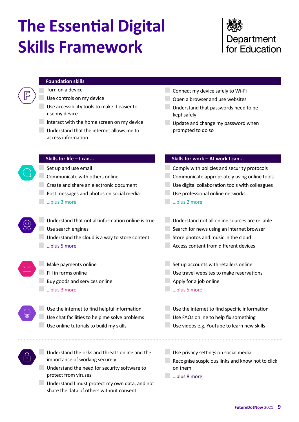# **The Essential Digital Skills Framework**

### Department for Education

#### **Foundation skills**

Turn on a device

Use controls on my device

Use accessibility tools to make it easier to use my device

Interact with the home screen on my device

Understand that the internet allows me to access information

- **Connect my device safely to Wi-Fi** 
	- Open a browser and use websites
	- Understand that passwords need to be kept safely
- Update and change my password when prompted to do so

#### **Skills for life – I can...**

Set up and use email

Communicate with others online

Create and share an electronic document

- **Post messages and photos on social media**
- …plus 3 more
- Understand that not all information online is true Use search engines

Understand the cloud is a way to store content …plus 5 more

- **Make payments online**
- Fill in forms online
- **Buy goods and services online**
- …plus 3 more
- Use the internet to find helpful information Use chat facilities to help me solve problems
- Use online tutorials to build my skills
- Understand the risks and threats online and the importance of working securely
	- Understand the need for security software to protect from viruses
	- Understand I must protect my own data, and not share the data of others without consent

#### **Skills for work – At work I can...**

**Comply with policies and security protocols Communicate appropriately using online tools** Use digital collaboration tools with colleagues Use professional online networks **Example 2 more** 

- Understand not all online sources are reliable Search for news using an internet browser Store photos and music in the cloud
- Access content from different devices
- Set up accounts with retailers online
- Use travel websites to make reservations
- Apply for a job online
- …plus 5 more
- Use the internet to find specific information
- Use FAQs online to help fix something
	- Use videos e.g. YouTube to learn new skills
- Use privacy settings on social media Recognise suspicious links and know not to click
	- on them
- …plus 8 more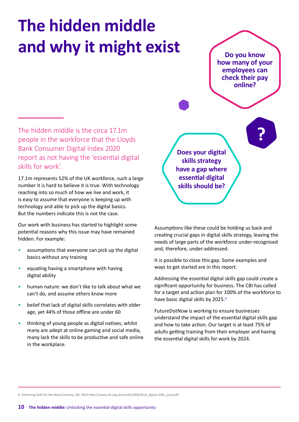# **The hidden middle and why it might exist**

**Do you know how many of your employees can check their pay online?**

The hidden middle is the circa 17.1m people in the workforce that the Lloyds Bank Consumer Digital Index 2020 report as not having the 'essential digital skills for work'.

17.1m represents 52% of the UK workforce, such a large number it is hard to believe it is true. With technology reaching into so much of how we live and work, it is easy to assume that everyone is keeping up with technology and able to pick up the digital basics. But the numbers indicate this is not the case.

Our work with business has started to highlight some potential reasons why this issue may have remained hidden. For example:

- assumptions that everyone can pick up the digital basics without any training
- equating having a smartphone with having digital ability
- human nature: we don't like to talk about what we can't do, and assume others know more
- belief that lack of digital skills correlates with older age, yet 44% of those offline are under 60
- thinking of young people as digital natives; whilst many are adept at online gaming and social media, many lack the skills to be productive and safe online in the workplace.

**Does your digital skills strategy have a gap where essential digital skills should be?**

Assumptions like these could be holding us back and creating crucial gaps in digital skills strategy, leaving the needs of large parts of the workforce under-recognised and, therefore, under-addressed.

It is possible to close this gap. Some examples and ways to get started are in this report.

Addressing the essential digital skills gap could create a significant opportunity for business. The CBI has called for a target and action plan for 100% of the workforce to have basic digital skills by 2025.<sup>8</sup>

FutureDotNow is working to ensure businesses understand the impact of the essential digital skills gap and how to take action. Our target is at least 75% of adults getting training from their employer and having the essential digital skills for work by 2024.

8 Delivering Skills for the New Economy, CBI, 2019 https://www.cbi.org.uk/media/2836/final\_digital-skills\_june.pdf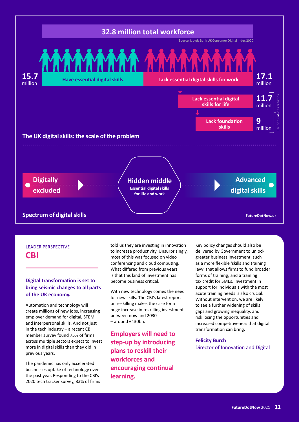

#### LEADER PERSPECTIVE **CBI**

#### **Digital transformation is set to bring seismic changes to all parts of the UK economy.**

Automation and technology will create millions of new jobs, increasing employer demand for digital, STEM and interpersonal skills. And not just in the tech industry – a recent CBI member survey found 75% of firms across multiple sectors expect to invest more in digital skills than they did in previous years.

The pandemic has only accelerated businesses uptake of technology over the past year. Responding to the CBI's 2020 tech tracker survey, 83% of firms

told us they are investing in innovation to increase productivity. Unsurprisingly, most of this was focused on video conferencing and cloud computing. What differed from previous years is that this kind of investment has become business critical.

With new technology comes the need for new skills. The CBI's latest report on reskilling makes the case for a huge increase in reskilling investment between now and 2030 – around £130bn.

**Employers will need to step-up by introducing plans to reskill their workforces and encouraging continual learning.**

Key policy changes should also be delivered by Government to unlock greater business investment, such as a more flexible 'skills and training levy' that allows firms to fund broader forms of training, and a training tax credit for SMEs. Investment in support for individuals with the most acute training needs is also crucial. Without intervention, we are likely to see a further widening of skills gaps and growing inequality, and risk losing the opportunities and increased competitiveness that digital transformation can bring.

**Felicity Burch** Director of Innovation and Digital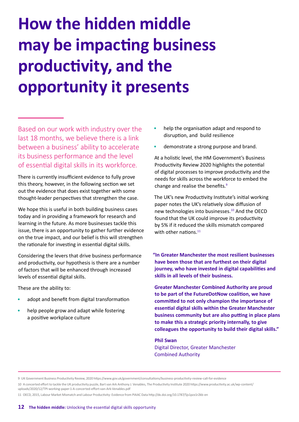# **How the hidden middle may be impacting business productivity, and the opportunity it presents**

Based on our work with industry over the last 18 months, we believe there is a link between a business' ability to accelerate its business performance and the level of essential digital skills in its workforce.

There is currently insufficient evidence to fully prove this theory, however, in the following section we set out the evidence that does exist together with some thought-leader perspectives that strengthen the case.

We hope this is useful in both building business cases today and in providing a framework for research and learning in the future. As more businesses tackle this issue, there is an opportunity to gather further evidence on the true impact, and our belief is this will strengthen the rationale for investing in essential digital skills.

Considering the levers that drive business performance and productivity, our hypothesis is there are a number of factors that will be enhanced through increased levels of essential digital skills.

These are the ability to:

- adopt and benefit from digital transformation
- help people grow and adapt while fostering a positive workplace culture
- help the organisation adapt and respond to disruption, and build resilience
- demonstrate a strong purpose and brand.

At a holistic level, the HM Government's Business Productivity Review 2020 highlights the potential of digital processes to improve productivity and the needs for skills across the workforce to embed the change and realise the benefits.9

The UK's new Productivity Institute's initial working paper notes the UK's relatively slow diffusion of new technologies into businesses.10 And the OECD found that the UK could improve its productivity by 5% if it reduced the skills mismatch compared with other nations. $11$ 

**"In Greater Manchester the most resilient businesses have been those that are furthest on their digital journey, who have invested in digital capabilities and skills in all levels of their business.** 

**Greater Manchester Combined Authority are proud to be part of the FutureDotNow coalition, we have committed to not only champion the importance of essential digital skills within the Greater Manchester business community but are also putting in place plans to make this a strategic priority internally, to give colleagues the opportunity to build their digital skills."**

**Phil Swan** Digital Director, Greater Manchester Combined Authority

9 UK Government Business Productivity Review, 2020 <https://www.gov.uk/government/consultations/business-productivity-review-call-for-evidence>

10 A concerted effort to tackle the UK productivity puzzle, Bart van Ark Anthony J. Venables, The Productivity Institute 2020 [https://www.productivity.ac.uk/wp-content/](https://www.productivity.ac.uk/wp-content/uploads/2020/12/TPI-working-paper-1-A-concerted-effort-van-Ark-Venables.pdf ) [uploads/2020/12/TPI-working-paper-1-A-concerted-effort-van-Ark-Venables.pdf](https://www.productivity.ac.uk/wp-content/uploads/2020/12/TPI-working-paper-1-A-concerted-effort-van-Ark-Venables.pdf ) 

11 OECD, 2015, Labour Market Mismatch and Labour Productivity: Evidence from PIAAC Data<http://dx.doi.org/10.1787/5js1pzx1r2kb-en>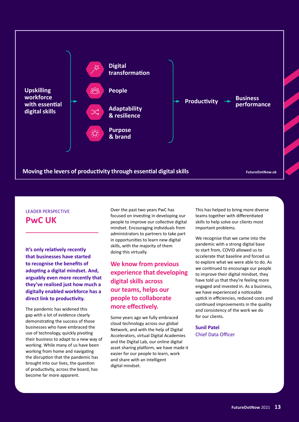

### LEADER PERSPECTIVE

**PwC UK**

**It's only relatively recently that businesses have started to recognise the benefits of adopting a digital mindset. And, arguably even more recently that they've realised just how much a digitally enabled workforce has a direct link to productivity.** 

The pandemic has widened this gap with a lot of evidence clearly demonstrating the success of those businesses who have embraced the use of technology, quickly pivoting their business to adapt to a new way of working. While many of us have been working from home and navigating the disruption that the pandemic has brought into our lives, the question of productivity, across the board, has become far more apparent.

Over the past two years PwC has focused on investing in developing our people to improve our collective digital mindset. Encouraging individuals from administrators to partners to take part in opportunities to learn new digital skills, with the majority of them doing this virtually.

#### **We know from previous experience that developing digital skills across our teams, helps our people to collaborate more effectively.**

Some years ago we fully embraced cloud technology across our global Network, and with the help of Digital Accelerators, virtual Digital Academies and the Digital Lab, our online digital asset sharing platform, we have made it easier for our people to learn, work and share with an intelligent digital mindset.

This has helped to bring more diverse teams together with differentiated skills to help solve our clients most important problems.

We recognise that we came into the pandemic with a strong digital base to start from, COVID allowed us to accelerate that baseline and forced us to explore what we were able to do. As we continued to encourage our people to improve their digital mindset, they have told us that they're feeling more engaged and invested in. As a business, we have experienced a noticeable uptick in efficiencies, reduced costs and continued improvements in the quality and consistency of the work we do for our clients.

**Sunil Patel** Chief Data Officer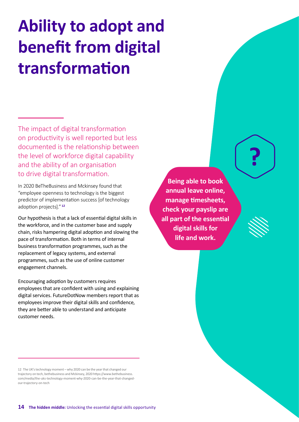# **Ability to adopt and benefit from digital transformation**

The impact of digital transformation on productivity is well reported but less documented is the relationship between the level of workforce digital capability and the ability of an organisation to drive digital transformation.

In 2020 BeTheBusiness and Mckinsey found that "employee openness to technology is the biggest predictor of implementation success [of technology adoption projects]." **<sup>12</sup>**

Our hypothesis is that a lack of essential digital skills in the workforce, and in the customer base and supply chain, risks hampering digital adoption and slowing the pace of transformation. Both in terms of internal business transformation programmes, such as the replacement of legacy systems, and external programmes, such as the use of online customer engagement channels.

Encouraging adoption by customers requires employees that are confident with using and explaining digital services. FutureDotNow members report that as employees improve their digital skills and confidence, they are better able to understand and anticipate customer needs.

12 The UK's technology moment – why 2020 can be the year that changed our trajectory on tech, bethebusiness and Mckinsey, 2020 [https://www.bethebusiness.](https://www.bethebusiness.com/media/ the-uks-technology-moment-why-2020-can-be-the-year-that-changed-our-trajectory-on-tech/ ) [com/media/the-uks-technology-moment-why-2020-can-be-the-year-that-changed](https://www.bethebusiness.com/media/ the-uks-technology-moment-why-2020-can-be-the-year-that-changed-our-trajectory-on-tech/ )[our-trajectory-on-tech](https://www.bethebusiness.com/media/ the-uks-technology-moment-why-2020-can-be-the-year-that-changed-our-trajectory-on-tech/ ) 

**Being able to book annual leave online, manage timesheets, check your payslip are all part of the essential digital skills for life and work.**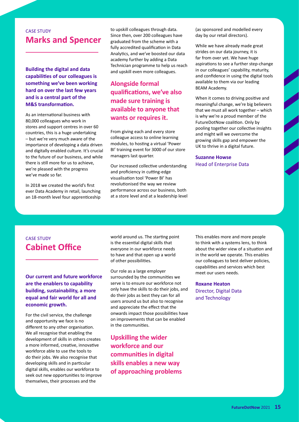#### CASE STUDY **Marks and Spencer**

**Building the digital and data capabilities of our colleagues is something we've been working hard on over the last few years and is a central part of the M&S transformation.** 

As an international business with 80,000 colleagues who work in stores and support centres in over 60 countries, this is a huge undertaking – but we're very much aware of the importance of developing a data driven and digitally enabled culture. It's crucial to the future of our business, and while there is still more for us to achieve, we're pleased with the progress we've made so far.

In 2018 we created the world's first ever Data Academy in retail, launching an 18-month level four apprenticeship to upskill colleagues through data. Since then, over 200 colleagues have graduated from the scheme with a fully accredited qualification in Data Analytics, and we've boosted our data academy further by adding a Data Technician programme to help us reach and upskill even more colleagues.

#### **Alongside formal qualifications, we've also made sure training is available to anyone that wants or requires it.**

From giving each and every store colleague access to online learning modules, to hosting a virtual 'Power BI' training event for 3000 of our store managers last quarter.

Our increased collective understanding and proficiency in cutting-edge visualisation tool 'Power BI' has revolutionised the way we review performance across our business, both at a store level and at a leadership level (as sponsored and modelled every day by our retail directors).

While we have already made great strides on our data journey, it is far from over yet. We have huge aspirations to see a further step-change in our colleagues' capability, maturity, and confidence in using the digital tools available to them via our leading BEAM Academy.

When it comes to driving positive and meaningful change, we're big believers that we must all work together – which is why we're a proud member of the FutureDotNow coalition. Only by pooling together our collective insights and might will we overcome the growing skills gap and empower the UK to thrive in a digital future.

**Suzanne Howse** Head of Enterprise Data

### CASE STUDY **Cabinet Office**

**Our current and future workforce are the enablers to capability building, sustainability, a more equal and fair world for all and economic growth.** 

For the civil service, the challenge and opportunity we face is no different to any other organisation. We all recognise that enabling the development of skills in others creates a more informed, creative, innovative workforce able to use the tools to do their jobs. We also recognise that developing skills and in particular digital skills, enables our workforce to seek out new opportunities to improve themselves, their processes and the

world around us. The starting point is the essential digital skills that everyone in our workforce needs to have and that open up a world of other possibilities.

Our role as a large employer surrounded by the communities we serve is to ensure our workforce not only have the skills to do their jobs, and do their jobs as best they can for all users around us but also to recognise and appreciate the effect that the onwards impact those possibilities have on improvements that can be enabled in the communities.

**Upskilling the wider workforce and our communities in digital skills enables a new way of approaching problems** This enables more and more people to think with a systems lens, to think about the wider view of a situation and in the world we operate. This enables our colleagues to best deliver policies, capabilities and services which best meet our users needs.

**Roxane Heaton** Director, Digital Data and Technology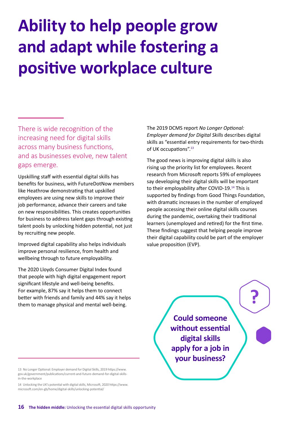# **Ability to help people grow and adapt while fostering a positive workplace culture**

There is wide recognition of the increasing need for digital skills across many business functions, and as businesses evolve, new talent gaps emerge.

Upskilling staff with essential digital skills has benefits for business, with FutureDotNow members like Heathrow demonstrating that upskilled employees are using new skills to improve their job performance, advance their careers and take on new responsibilities. This creates opportunities for business to address talent gaps through existing talent pools by unlocking hidden potential, not just by recruiting new people.

Improved digital capability also helps individuals improve personal resilience, from health and wellbeing through to future employability.

The 2020 Lloyds Consumer Digital Index found that people with high digital engagement report significant lifestyle and well-being benefits. For example, 87% say it helps them to connect better with friends and family and 44% say it helps them to manage physical and mental well-being.

The 2019 DCMS report *No Longer Optional: Employer demand for Digital Skills* describes digital skills as "essential entry requirements for two-thirds of UK occupations".<sup>13</sup>

The good news is improving digital skills is also rising up the priority list for employees. Recent research from Microsoft reports 59% of employees say developing their digital skills will be important to their employability after COVID-19.<sup>14</sup> This is supported by findings from Good Things Foundation, with dramatic increases in the number of employed people accessing their online digital skills courses during the pandemic, overtaking their traditional learners (unemployed and retired) for the first time. These findings suggest that helping people improve their digital capability could be part of the employer value proposition (EVP).

> **Could someone without essential digital skills apply for a job in your business?**

13 No Longer Optional: Employer demand for Digital Skills, 2019 [https://www.](https://www.gov.uk/government/publications/current-and-future-demand-for-digital-skills-in-the-workplace) [gov.uk/government/publications/current-and-future-demand-for-digital-skills](https://www.gov.uk/government/publications/current-and-future-demand-for-digital-skills-in-the-workplace)[in-the-workplace](https://www.gov.uk/government/publications/current-and-future-demand-for-digital-skills-in-the-workplace)

14 Unlocking the UK's potential with digital skills, Microsoft, 2020 [https://www.](https://www.microsoft.com/en-gb/home/digital-skills/unlocking-potential/) [microsoft.com/en-gb/home/digital-skills/unlocking-potential/](https://www.microsoft.com/en-gb/home/digital-skills/unlocking-potential/)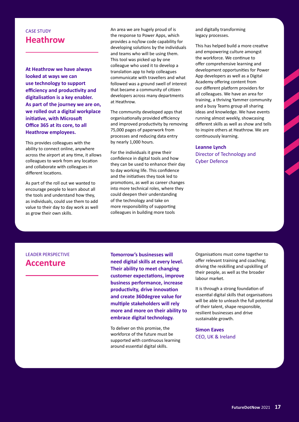#### CASE STUDY **Heathrow**

**At Heathrow we have always looked at ways we can use technology to support efficiency and productivity and digitalisation is a key enabler. As part of the journey we are on, we rolled out a digital workplace initiative, with Microsoft Office 365 at its core, to all Heathrow employees.** 

This provides colleagues with the ability to connect online, anywhere across the airport at any time, it allows colleagues to work from any location and collaborate with colleagues in different locations.

As part of the roll out we wanted to encourage people to learn about all the tools and understand how they, as individuals, could use them to add value to their day to day work as well as grow their own skills.

An area we are hugely proud of is the response to Power Apps, which provides a no/low code capability for developing solutions by the individuals and teams who will be using them. This tool was picked up by one colleague who used it to develop a translation app to help colleagues communicate with travellers and what followed was a ground swell of interest that became a community of citizen developers across many departments at Heathrow.

The community developed apps that organisationally provided efficiency and improved productivity by removing 75,000 pages of paperwork from processes and reducing data entry by nearly 1,000 hours.

For the individuals it grew their confidence in digital tools and how they can be used to enhance their day to day working life. This confidence and the initiatives they took led to promotions, as well as career changes into more technical roles, where they could deepen their understanding of the technology and take on more responsibility of supporting colleagues in building more tools

and digitally transforming legacy processes.

This has helped build a more creative and empowering culture amongst the workforce. We continue to offer comprehensive learning and development opportunities for Power App developers as well as a Digital Academy offering content from our different platform providers for all colleagues. We have an area for training, a thriving Yammer community and a busy Teams group all sharing ideas and knowledge. We have events running almost weekly, showcasing different skills as well as show and tells to inspire others at Heathrow. We are continuously learning.

**Leanne Lynch** Director of Technology and Cyber Defence

#### LEADER PERSPECTIVE **Accenture**

**Tomorrow's businesses will need digital skills at every level. Their ability to meet changing customer expectations, improve business performance, increase productivity, drive innovation and create 360degree value for multiple stakeholders will rely more and more on their ability to embrace digital technology.** 

To deliver on this promise, the workforce of the future must be supported with continuous learning around essential digital skills.

Organisations must come together to offer relevant training and coaching; driving the reskilling and upskilling of their people, as well as the broader labour market.

It is through a strong foundation of essential digital skills that organisations will be able to unleash the full potential of their talent, shape responsible, resilient businesses and drive sustainable growth.

**Simon Eaves** CEO, UK & Ireland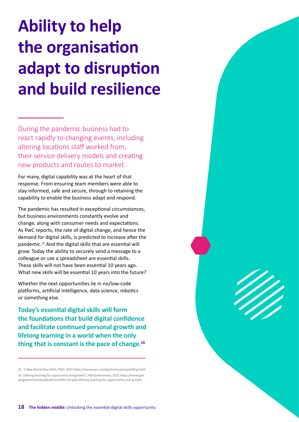# **Ability to help the organisation adapt to disruption and build resilience**

During the pandemic business had to react rapidly to changing events, including altering locations staff worked from, their service delivery models and creating new products and routes to market.

For many, digital capability was at the heart of that response. From ensuring team members were able to stay informed, safe and secure, through to retaining the capability to enable the business adapt and respond.

The pandemic has resulted in exceptional circumstances, but business environments constantly evolve and change, along with consumer needs and expectations. As PwC reports, the rate of digital change, and hence the demand for digital skills, is predicted to increase after the pandemic.15 And the digital skills that are essential will grow. Today the ability to securely send a message to a colleague or use a spreadsheet are essential skills. These skills will not have been essential 10 years ago. What new skills will be essential 10 years into the future?

Whether the next opportunities lie in no/low-code platforms, artificial intelligence, data science, robotics or something else.

**Today's essential digital skills will form the foundations that build digital confidence and facilitate continued personal growth and lifelong learning in a world when the only thing that is constant is the pace of change.16**

15 5 New World New Skills, PWC, 2021 <https://www.pwc.com/gx/en/issues/upskilling.html> 16 Lifelong learning for opportunity and growth", HM Government, 2021 [https://www.gov.](https://www.gov.uk/government/publications/skills-for-jobs-lifelong-learning-for-opportunity-and-growth) [uk/government/publications/skills-for-jobs-lifelong-learning-for-opportunity-and-growth](https://www.gov.uk/government/publications/skills-for-jobs-lifelong-learning-for-opportunity-and-growth)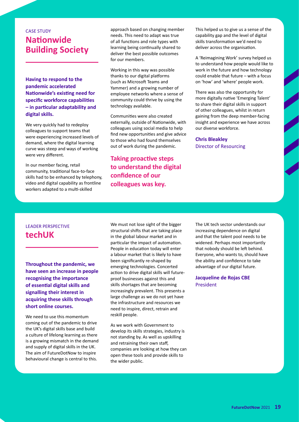### CASE STUDY **Nationwide Building Society**

**Having to respond to the pandemic accelerated Nationwide's existing need for specific workforce capabilities – in particular adaptability and digital skills.** 

We very quickly had to redeploy colleagues to support teams that were experiencing increased levels of demand, where the digital learning curve was steep and ways of working were very different.

In our member facing, retail community, traditional face-to-face skills had to be enhanced by telephony, video and digital capability as frontline workers adapted to a multi-skilled

approach based on changing member needs. This need to adapt was true of all functions and role types with learning being continually shared to deliver the best possible outcomes for our members.

Working in this way was possible thanks to our digital platforms (such as Microsoft Teams and Yammer) and a growing number of employee networks where a sense of community could thrive by using the technology available.

Communities were also created externally, outside of Nationwide, with colleagues using social media to help find new opportunities and give advice to those who had found themselves out of work during the pandemic.

**Taking proactive steps to understand the digital confidence of our colleagues was key.**

This helped us to give us a sense of the capability gap and the level of digital skills transformation we'd need to deliver across the organisation.

A 'Reimagining Work' survey helped us to understand how people would like to work in the future and how technology could enable that future – with a focus on 'how' and 'where' people work.

There was also the opportunity for more digitally native 'Emerging Talent' to share their digital skills in support of other colleagues, whilst in return gaining from the deep member-facing insight and experience we have across our diverse workforce.

#### **Chris Bleakley** Director of Resourcing

#### LEADER PERSPECTIVE **techUK**

**Throughout the pandemic, we have seen an increase in people recognising the importance of essential digital skills and signalling their interest in acquiring these skills through short online courses.** 

We need to use this momentum coming out of the pandemic to drive the UK's digital skills base and build a culture of lifelong learning as there is a growing mismatch in the demand and supply of digital skills in the UK. The aim of FutureDotNow to inspire behavioural change is central to this.

We must not lose sight of the bigger structural shifts that are taking place in the global labour market and in particular the impact of automation. People in education today will enter a labour market that is likely to have been significantly re-shaped by emerging technologies. Concerted action to drive digital skills will futureproof businesses against this and skills shortages that are becoming increasingly prevalent. This presents a large challenge as we do not yet have the infrastructure and resources we need to inspire, direct, retrain and reskill people.

As we work with Government to develop its skills strategies, industry is not standing by. As well as upskilling and retraining their own staff, companies are looking at how they can open these tools and provide skills to the wider public.

The UK tech sector understands our increasing dependence on digital and that the talent pool needs to be widened. Perhaps most importantly that nobody should be left behind. Everyone, who wants to, should have the ability and confidence to take advantage of our digital future.

**Jacqueline de Rojas CBE** President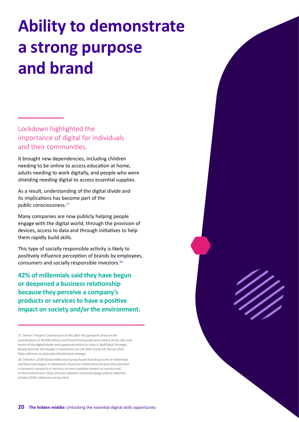# **Ability to demonstrate a strong purpose and brand**

Lockdown highlighted the importance of digital for individuals and their communities.

It brought new dependencies, including children needing to be online to access education at home, adults needing to work digitally, and people who were shielding needing digital to access essential supplies.

As a result, understanding of the digital divide and its implications has become part of the public consciousness.<sup>17</sup>

Many companies are now publicly helping people engage with the digital world, through the provision of devices, access to data and through initiatives to help them rapidly build skills.

This type of socially responsible activity is likely to positively influence perception of brands by employees, consumers and socially responsible investors.18

**42% of millennials said they have begun or deepened a business relationship because they perceive a company's products or services to have a positive impact on society and/or the environment.**

17 Demos' People's Commission on life after the pandemic drew on the contributions of 50,000 citizens and found that people were aware of the risks and harms of the digital divide and supported action to close it, Build Back Stronger, Renew Normal: the People's Commission on Life After Covid-19, Demos 2021 [https://demos.co.uk/project/build-back-stronger](https://demos.co.uk/project/build-back-stronger/)

18 Deloitte's 2019 Global Millennial Survey found that 42 percent of millennials said they have begun or deepened a business relationship because they perceive a company's products or services to have a positive impact on society and/ or the environment, [https://www2.deloitte.com/cn/en/pages/about-deloitte/](https://www2.deloitte.com/cn/en/pages/about-deloitte/articles/2019-millennial-survey.html) [articles/2019-millennial-survey.html](https://www2.deloitte.com/cn/en/pages/about-deloitte/articles/2019-millennial-survey.html)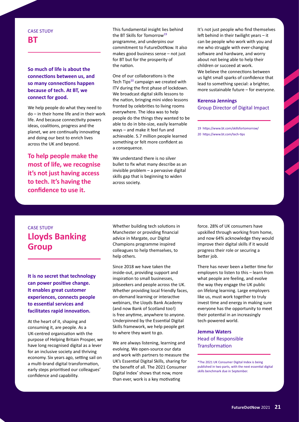#### CASE STUDY **BT**

#### **So much of life is about the connections between us, and so many connections happen because of tech. At BT, we connect for good.**

We help people do what they need to do – in their home life and in their work life. And because connectivity powers ideas, coalitions, progress and the planet, we are continually innovating and doing our best to enrich lives across the UK and beyond.

**To help people make the most of life, we recognise it's not just having access to tech. It's having the confidence to use it.** 

This fundamental insight lies behind the BT Skills for Tomorrow<sup>19</sup> programme, and underpins our commitment to FutureDotNow. It also makes good business sense – not just for BT but for the prosperity of the nation.

One of our collaborations is the Tech Tips<sup>20</sup> campaign we created with ITV during the first phase of lockdown. We broadcast digital skills lessons to the nation, bringing mini video lessons fronted by celebrities to living rooms everywhere. The idea was to help people do the things they wanted to be able to do in bite-size, easily learnable ways – and make it feel fun and achievable. 5.7 million people learned something or felt more confident as a consequence.

We understand there is no silver bullet to fix what many describe as an invisible problem – a pervasive digital skills gap that is beginning to widen across society.

It's not just people who find themselves left behind in their twilight years – it can be people who work with you and me who struggle with ever-changing software and hardware, and worry about not being able to help their children or succeed at work. We believe the connections between us light small sparks of confidence that lead to something special: a brighter, more sustainable future – for everyone.

#### **Kerensa Jennings** Group Director of Digital Impact

19 <https://www.bt.com/skillsfortomorrow/> 20 <https://www.bt.com/tech-tips>

### CASE STUDY **Lloyds Banking Group**

**It is no secret that technology can power positive change. It enables great customer experiences, connects people to essential services and facilitates rapid innovation.** 

At the heart of it, shaping and consuming it, are people. As a UK-centred organisation with the purpose of Helping Britain Prosper, we have long recognised digital as a lever for an inclusive society and thriving economy. Six years ago, setting sail on a multi-brand digital transformation, early steps prioritised our colleagues' confidence and capability.

Whether building tech solutions in Manchester or providing financial advice in Margate, our Digital Champions programme inspired colleagues to help themselves, to help others.

Since 2018 we have taken the inside-out, providing support and inspiration to small businesses, jobseekers and people across the UK. Whether providing local friendly faces, on-demand learning or interactive webinars, the Lloyds Bank Academy (and now Bank of Scotland too!) is free anytime, anywhere to anyone. Underpinned by the Essential Digital Skills framework, we help people get to where they want to go.

We are always listening, learning and evolving. We open-source our data and work with partners to measure the UK's Essential Digital Skills, sharing for the benefit of all. The 2021 Consumer Digital Index<sup>\*</sup> shows that now, more than ever, work is a key motivating

force. 28% of UK consumers have upskilled through working from home, and now 64% acknowledge they would improve their digital skills if it would progress their role or securing a better job.

There has never been a better time for employers to listen to this – learn from what people are feeling, and evolve the way they engage the UK public on lifelong learning. Large employers like us, must work together to truly invest time and energy in making sure everyone has the opportunity to meet their potential in an increasingly tech-powered world.

**Jemma Waters** Head of Responsible **Transformation** 

\*The 2021 UK Consumer Digital Index is being published in two parts, with the next essential digital skills benchmark due in September.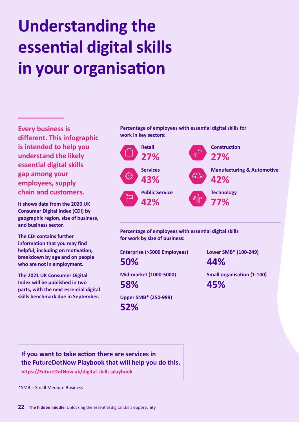# **Understanding the essential digital skills in your organisation**

**Every business is different. This infographic is intended to help you understand the likely essential digital skills gap among your employees, supply chain and customers.** 

**It shows data from the 2020 UK Consumer Digital Index (CDI) by geographic region, size of business, and business sector.** 

**The CDI contains further information that you may find helpful, including on motivation, breakdown by age and on people who are not in employment.**

**The 2021 UK Consumer Digital Index will be published in two parts, with the next essential digital skills benchmark due in September.**

**Percentage of employees with essential digital skills for work in key sectors:**



**Percentage of employees with essential digital skills for work by size of business:**

**Enterprise (>5000 Employees) 50%**

**Mid-market (1000-5000) 58%**

**Upper SMB\* (250-999) 52%**

**Lower SMB\* (100-249)** 

**44%**

**Small organisation (1-100) 45%**

**If you want to take action there are services in the FutureDotNow Playbook that will help you do this.**

**[https://FutureDotNow.uk/digital-skills-playbook](https://futureDotNow.uk/digital-skills-playbook/)**

\*SMB = Small Medium Business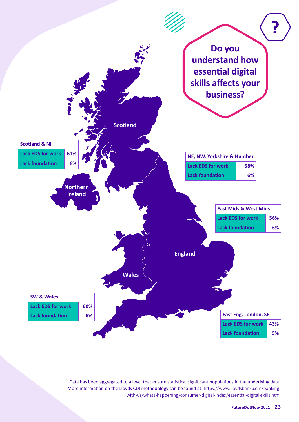

Data has been aggregated to a level that ensure statistical significant populations in the underlying data. More information on the Lloyds CDI methodology can be found at: [https://www.lloydsbank.com/banking](https://www.lloydsbank.com/banking-with-us/whats-happening/consumer-digital-index/essential-digital-skills.html)[with-us/whats-happening/consumer-digital-index/essential-digital-skills.html](https://www.lloydsbank.com/banking-with-us/whats-happening/consumer-digital-index/essential-digital-skills.html)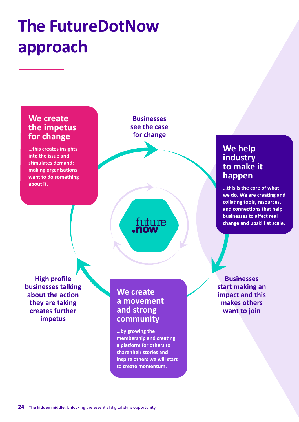## **The FutureDotNow approach**

### **We create the impetus for change**

**…this creates insights into the issue and stimulates demand; making organisations want to do something about it.**

**Businesses see the case for change**

future

### **We help industry to make it happen**

**…this is the core of what we do. We are creating and collating tools, resources, and connections that help businesses to affect real change and upskill at scale.**

**High profile businesses talking about the action they are taking creates further impetus**

### **We create a movement and strong community**

**…by growing the membership and creating a platform for others to share their stories and inspire others we will start to create momentum.**

**Businesses start making an impact and this makes others want to join**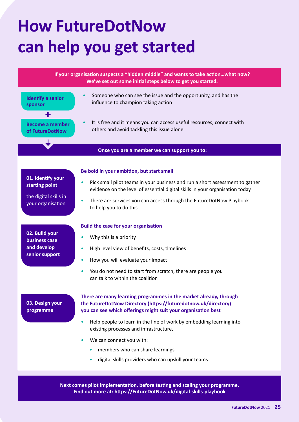# **How FutureDotNow can help you get started**



**Next comes pilot implementation, before testing and scaling your programme. Find out more at: [https://FutureDotNow.uk/digital-skills-playbook](https://futureDotNow.uk/digital-skills-playbook/ )**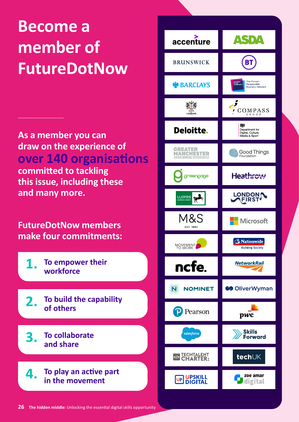## **Become a member of FutureDotNow**

**As a member you can draw on the experience of over 140 organisations committed to tackling this issue, including these and many more.** 

**FutureDotNow members make four commitments:**

**1. To empower their workforce**

**2. To build the capability of others**

**3. To collaborate and share**

**4. To play an active part in the movement**

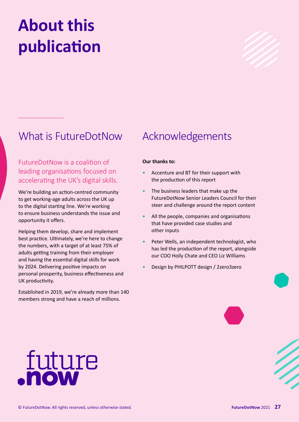# **About this publication**



### What is FutureDotNow Acknowledgements

FutureDotNow is a coalition of leading organisations focused on accelerating the UK's digital skills.

We're building an action-centred community to get working-age adults across the UK up to the digital starting line. We're working to ensure business understands the issue and opportunity it offers.

Helping them develop, share and implement best practice. Ultimately, we're here to change the numbers, with a target of at least 75% of adults getting training from their employer and having the essential digital skills for work by 2024. Delivering positive impacts on personal prosperity, business effectiveness and UK productivity.

Established in 2019, we're already more than 140 members strong and have a reach of millions.

#### **Our thanks to:**

- Accenture and BT for their support with the production of this report
- The business leaders that make up the FutureDotNow Senior Leaders Council for their steer and challenge around the report content
- All the people, companies and organisations that have provided case studies and other inputs
- Peter Wells, an independent technologist, who has led the production of the report, alongside our COO Holly Chate and CEO Liz Williams
- Design by PHILPOTT design / 2zero3zero